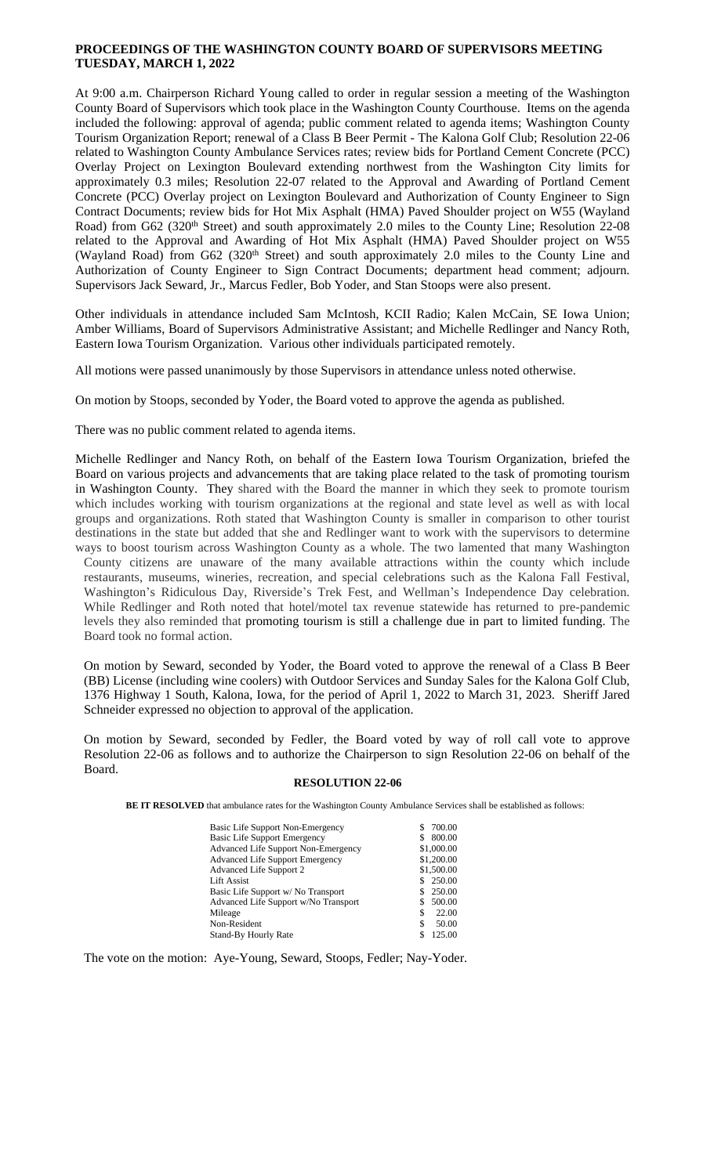# **PROCEEDINGS OF THE WASHINGTON COUNTY BOARD OF SUPERVISORS MEETING TUESDAY, MARCH 1, 2022**

At 9:00 a.m. Chairperson Richard Young called to order in regular session a meeting of the Washington County Board of Supervisors which took place in the Washington County Courthouse. Items on the agenda included the following: approval of agenda; public comment related to agenda items; Washington County Tourism Organization Report; renewal of a Class B Beer Permit - The Kalona Golf Club; Resolution 22-06 related to Washington County Ambulance Services rates; review bids for Portland Cement Concrete (PCC) Overlay Project on Lexington Boulevard extending northwest from the Washington City limits for approximately 0.3 miles; Resolution 22-07 related to the Approval and Awarding of Portland Cement Concrete (PCC) Overlay project on Lexington Boulevard and Authorization of County Engineer to Sign Contract Documents; review bids for Hot Mix Asphalt (HMA) Paved Shoulder project on W55 (Wayland Road) from G62 (320<sup>th</sup> Street) and south approximately 2.0 miles to the County Line; Resolution 22-08 related to the Approval and Awarding of Hot Mix Asphalt (HMA) Paved Shoulder project on W55 (Wayland Road) from G62 (320<sup>th</sup> Street) and south approximately 2.0 miles to the County Line and Authorization of County Engineer to Sign Contract Documents; department head comment; adjourn. Supervisors Jack Seward, Jr., Marcus Fedler, Bob Yoder, and Stan Stoops were also present.

Other individuals in attendance included Sam McIntosh, KCII Radio; Kalen McCain, SE Iowa Union; Amber Williams, Board of Supervisors Administrative Assistant; and Michelle Redlinger and Nancy Roth, Eastern Iowa Tourism Organization. Various other individuals participated remotely.

All motions were passed unanimously by those Supervisors in attendance unless noted otherwise.

On motion by Stoops, seconded by Yoder, the Board voted to approve the agenda as published.

There was no public comment related to agenda items.

Michelle Redlinger and Nancy Roth, on behalf of the Eastern Iowa Tourism Organization, briefed the Board on various projects and advancements that are taking place related to the task of promoting tourism in Washington County. They shared with the Board the manner in which they seek to promote tourism which includes working with tourism organizations at the regional and state level as well as with local groups and organizations. Roth stated that Washington County is smaller in comparison to other tourist destinations in the state but added that she and Redlinger want to work with the supervisors to determine ways to boost tourism across Washington County as a whole. The two lamented that many Washington County citizens are unaware of the many available attractions within the county which include restaurants, museums, wineries, recreation, and special celebrations such as the Kalona Fall Festival, Washington's Ridiculous Day, Riverside's Trek Fest, and Wellman's Independence Day celebration. While Redlinger and Roth noted that hotel/motel tax revenue statewide has returned to pre-pandemic levels they also reminded that promoting tourism is still a challenge due in part to limited funding. The Board took no formal action.

On motion by Seward, seconded by Yoder, the Board voted to approve the renewal of a Class B Beer (BB) License (including wine coolers) with Outdoor Services and Sunday Sales for the Kalona Golf Club, 1376 Highway 1 South, Kalona, Iowa, for the period of April 1, 2022 to March 31, 2023. Sheriff Jared Schneider expressed no objection to approval of the application.

On motion by Seward, seconded by Fedler, the Board voted by way of roll call vote to approve Resolution 22-06 as follows and to authorize the Chairperson to sign Resolution 22-06 on behalf of the Board.

#### **RESOLUTION 22-06**

**BE IT RESOLVED** that ambulance rates for the Washington County Ambulance Services shall be established as follows:

| Basic Life Support Non-Emergency           | 700.00       |
|--------------------------------------------|--------------|
| <b>Basic Life Support Emergency</b>        | 800.00<br>S. |
| <b>Advanced Life Support Non-Emergency</b> | \$1,000.00   |
| <b>Advanced Life Support Emergency</b>     | \$1,200.00   |
| Advanced Life Support 2                    | \$1,500.00   |
| <b>Lift Assist</b>                         | \$ 250.00    |
| Basic Life Support w/No Transport          | 250.00       |
| Advanced Life Support w/No Transport       | 500.00       |
| Mileage                                    | 22.00        |
| Non-Resident                               | 50.00        |
| <b>Stand-By Hourly Rate</b>                | 125.00       |

The vote on the motion: Aye-Young, Seward, Stoops, Fedler; Nay-Yoder.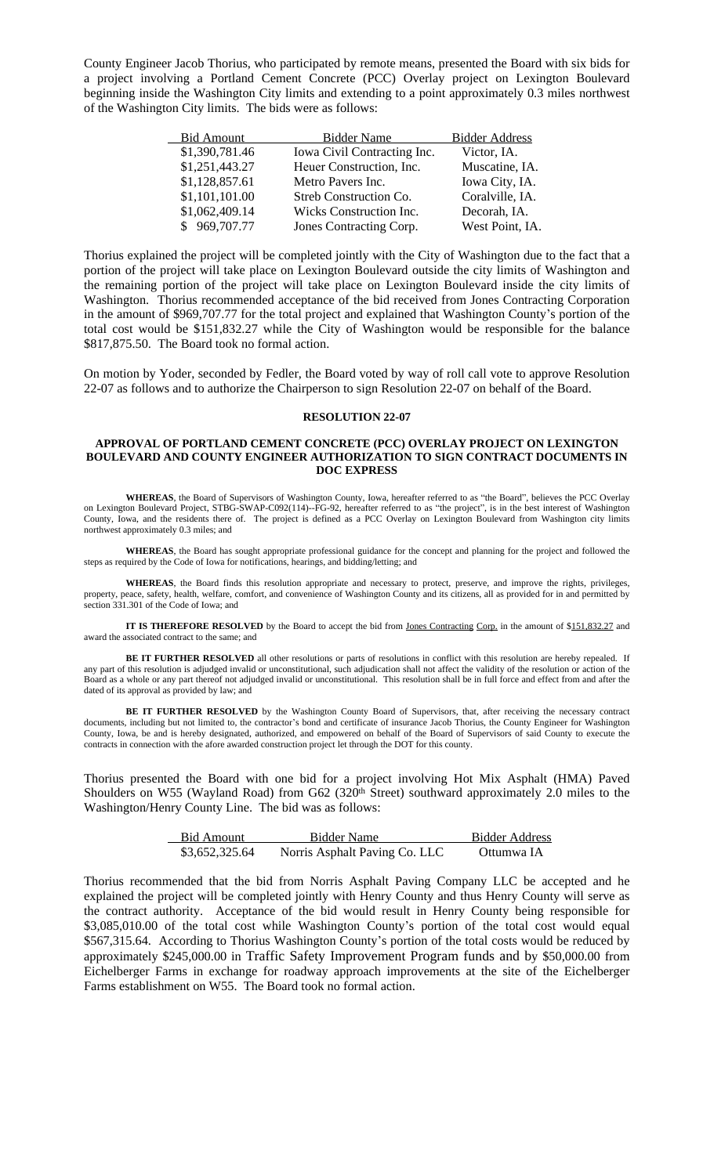County Engineer Jacob Thorius, who participated by remote means, presented the Board with six bids for a project involving a Portland Cement Concrete (PCC) Overlay project on Lexington Boulevard beginning inside the Washington City limits and extending to a point approximately 0.3 miles northwest of the Washington City limits. The bids were as follows:

| <b>Bid Amount</b> | <b>Bidder Name</b>          | <b>Bidder Address</b> |
|-------------------|-----------------------------|-----------------------|
| \$1,390,781.46    | Iowa Civil Contracting Inc. | Victor, IA.           |
| \$1,251,443.27    | Heuer Construction, Inc.    | Muscatine, IA.        |
| \$1,128,857.61    | Metro Pavers Inc.           | Iowa City, IA.        |
| \$1,101,101.00    | Streb Construction Co.      | Coralville, IA.       |
| \$1,062,409.14    | Wicks Construction Inc.     | Decorah, IA.          |
| \$969,707.77      | Jones Contracting Corp.     | West Point, IA.       |

Thorius explained the project will be completed jointly with the City of Washington due to the fact that a portion of the project will take place on Lexington Boulevard outside the city limits of Washington and the remaining portion of the project will take place on Lexington Boulevard inside the city limits of Washington. Thorius recommended acceptance of the bid received from Jones Contracting Corporation in the amount of \$969,707.77 for the total project and explained that Washington County's portion of the total cost would be \$151,832.27 while the City of Washington would be responsible for the balance \$817,875.50. The Board took no formal action.

On motion by Yoder, seconded by Fedler, the Board voted by way of roll call vote to approve Resolution 22-07 as follows and to authorize the Chairperson to sign Resolution 22-07 on behalf of the Board.

#### **RESOLUTION 22-07**

## **APPROVAL OF PORTLAND CEMENT CONCRETE (PCC) OVERLAY PROJECT ON LEXINGTON BOULEVARD AND COUNTY ENGINEER AUTHORIZATION TO SIGN CONTRACT DOCUMENTS IN DOC EXPRESS**

**WHEREAS**, the Board of Supervisors of Washington County, Iowa, hereafter referred to as "the Board", believes the PCC Overlay on Lexington Boulevard Project, STBG-SWAP-C092(114)--FG-92, hereafter referred to as "the project", is in the best interest of Washington County, Iowa, and the residents there of. The project is defined as a PCC Overlay on Lexington Boulevard from Washington city limits northwest approximately 0.3 miles; and

**WHEREAS**, the Board has sought appropriate professional guidance for the concept and planning for the project and followed the steps as required by the Code of Iowa for notifications, hearings, and bidding/letting; and

**WHEREAS**, the Board finds this resolution appropriate and necessary to protect, preserve, and improve the rights, privileges, property, peace, safety, health, welfare, comfort, and convenience of Washington County and its citizens, all as provided for in and permitted by section 331.301 of the Code of Iowa; and

**IT IS THEREFORE RESOLVED** by the Board to accept the bid from Jones Contracting Corp. in the amount of \$151,832.27 and award the associated contract to the same; and

**BE IT FURTHER RESOLVED** all other resolutions or parts of resolutions in conflict with this resolution are hereby repealed. If any part of this resolution is adjudged invalid or unconstitutional, such adjudication shall not affect the validity of the resolution or action of the Board as a whole or any part thereof not adjudged invalid or unconstitutional. This resolution shall be in full force and effect from and after the dated of its approval as provided by law; and

**BE IT FURTHER RESOLVED** by the Washington County Board of Supervisors, that, after receiving the necessary contract documents, including but not limited to, the contractor's bond and certificate of insurance Jacob Thorius, the County Engineer for Washington County, Iowa, be and is hereby designated, authorized, and empowered on behalf of the Board of Supervisors of said County to execute the contracts in connection with the afore awarded construction project let through the DOT for this county.

Thorius presented the Board with one bid for a project involving Hot Mix Asphalt (HMA) Paved Shoulders on W55 (Wayland Road) from G62 (320<sup>th</sup> Street) southward approximately 2.0 miles to the Washington/Henry County Line. The bid was as follows:

| Bid Amount     | Bidder Name                   | <b>Bidder Address</b> |
|----------------|-------------------------------|-----------------------|
| \$3,652,325.64 | Norris Asphalt Paving Co. LLC | Ottumwa IA            |

Thorius recommended that the bid from Norris Asphalt Paving Company LLC be accepted and he explained the project will be completed jointly with Henry County and thus Henry County will serve as the contract authority. Acceptance of the bid would result in Henry County being responsible for \$3,085,010.00 of the total cost while Washington County's portion of the total cost would equal \$567,315.64. According to Thorius Washington County's portion of the total costs would be reduced by approximately \$245,000.00 in Traffic Safety Improvement Program funds and by \$50,000.00 from Eichelberger Farms in exchange for roadway approach improvements at the site of the Eichelberger Farms establishment on W55. The Board took no formal action.